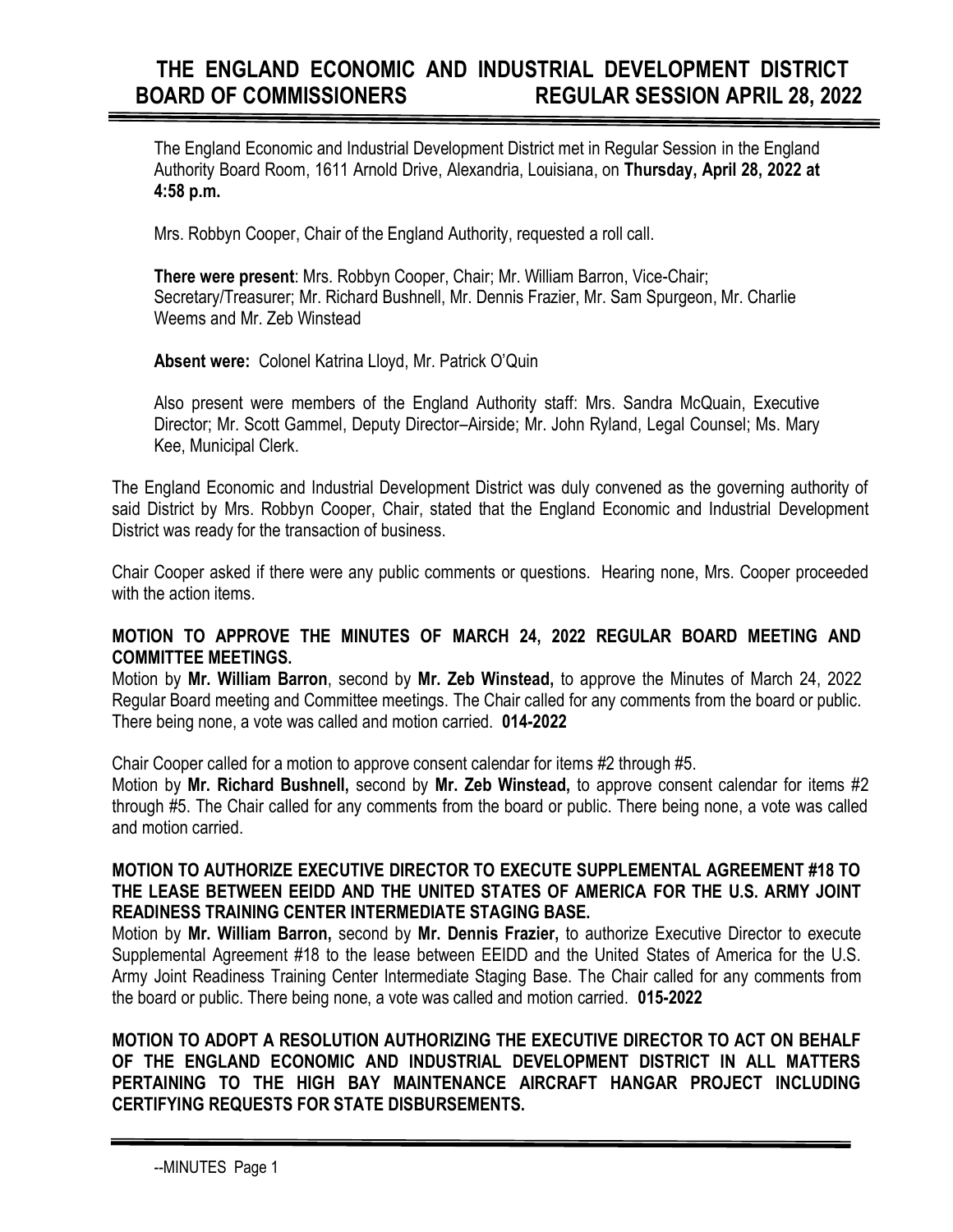# **THE ENGLAND ECONOMIC AND INDUSTRIAL DEVELOPMENT DISTRICT BOARD OF COMMISSIONERS REGULAR SESSION APRIL 28, 2022**

The England Economic and Industrial Development District met in Regular Session in the England Authority Board Room, 1611 Arnold Drive, Alexandria, Louisiana, on **Thursday, April 28, 2022 at 4:58 p.m.**

Mrs. Robbyn Cooper, Chair of the England Authority, requested a roll call.

**There were present**: Mrs. Robbyn Cooper, Chair; Mr. William Barron, Vice-Chair; Secretary/Treasurer; Mr. Richard Bushnell, Mr. Dennis Frazier, Mr. Sam Spurgeon, Mr. Charlie Weems and Mr. Zeb Winstead

**Absent were:** Colonel Katrina Lloyd, Mr. Patrick O'Quin

Also present were members of the England Authority staff: Mrs. Sandra McQuain, Executive Director; Mr. Scott Gammel, Deputy Director–Airside; Mr. John Ryland, Legal Counsel; Ms. Mary Kee, Municipal Clerk.

The England Economic and Industrial Development District was duly convened as the governing authority of said District by Mrs. Robbyn Cooper, Chair, stated that the England Economic and Industrial Development District was ready for the transaction of business.

Chair Cooper asked if there were any public comments or questions. Hearing none, Mrs. Cooper proceeded with the action items

## **MOTION TO APPROVE THE MINUTES OF MARCH 24, 2022 REGULAR BOARD MEETING AND COMMITTEE MEETINGS.**

Motion by **Mr. William Barron**, second by **Mr. Zeb Winstead,** to approve the Minutes of March 24, 2022 Regular Board meeting and Committee meetings. The Chair called for any comments from the board or public. There being none, a vote was called and motion carried. **014-2022**

Chair Cooper called for a motion to approve consent calendar for items #2 through #5.

Motion by **Mr. Richard Bushnell,** second by **Mr. Zeb Winstead,** to approve consent calendar for items #2 through #5. The Chair called for any comments from the board or public. There being none, a vote was called and motion carried.

## **MOTION TO AUTHORIZE EXECUTIVE DIRECTOR TO EXECUTE SUPPLEMENTAL AGREEMENT #18 TO THE LEASE BETWEEN EEIDD AND THE UNITED STATES OF AMERICA FOR THE U.S. ARMY JOINT READINESS TRAINING CENTER INTERMEDIATE STAGING BASE.**

Motion by **Mr. William Barron,** second by **Mr. Dennis Frazier,** to authorize Executive Director to execute Supplemental Agreement #18 to the lease between EEIDD and the United States of America for the U.S. Army Joint Readiness Training Center Intermediate Staging Base. The Chair called for any comments from the board or public. There being none, a vote was called and motion carried. **015-2022**

**MOTION TO ADOPT A RESOLUTION AUTHORIZING THE EXECUTIVE DIRECTOR TO ACT ON BEHALF OF THE ENGLAND ECONOMIC AND INDUSTRIAL DEVELOPMENT DISTRICT IN ALL MATTERS PERTAINING TO THE HIGH BAY MAINTENANCE AIRCRAFT HANGAR PROJECT INCLUDING CERTIFYING REQUESTS FOR STATE DISBURSEMENTS.**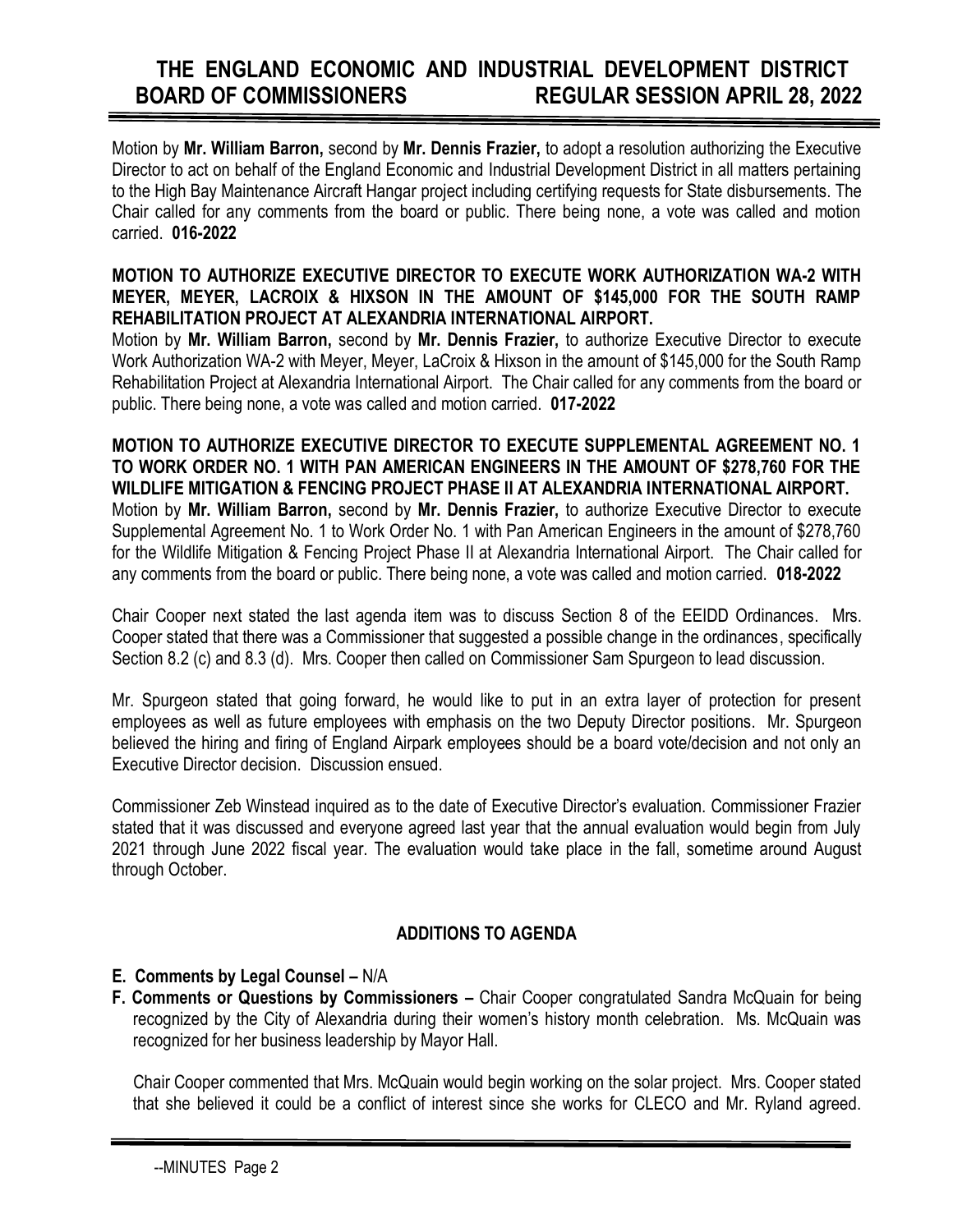# **THE ENGLAND ECONOMIC AND INDUSTRIAL DEVELOPMENT DISTRICT BOARD OF COMMISSIONERS REGULAR SESSION APRIL 28, 2022**

Motion by **Mr. William Barron,** second by **Mr. Dennis Frazier,** to adopt a resolution authorizing the Executive Director to act on behalf of the England Economic and Industrial Development District in all matters pertaining to the High Bay Maintenance Aircraft Hangar project including certifying requests for State disbursements. The Chair called for any comments from the board or public. There being none, a vote was called and motion carried. **016-2022**

## **MOTION TO AUTHORIZE EXECUTIVE DIRECTOR TO EXECUTE WORK AUTHORIZATION WA-2 WITH MEYER, MEYER, LACROIX & HIXSON IN THE AMOUNT OF \$145,000 FOR THE SOUTH RAMP REHABILITATION PROJECT AT ALEXANDRIA INTERNATIONAL AIRPORT.**

Motion by **Mr. William Barron,** second by **Mr. Dennis Frazier,** to authorize Executive Director to execute Work Authorization WA-2 with Meyer, Meyer, LaCroix & Hixson in the amount of \$145,000 for the South Ramp Rehabilitation Project at Alexandria International Airport. The Chair called for any comments from the board or public. There being none, a vote was called and motion carried. **017-2022**

#### **MOTION TO AUTHORIZE EXECUTIVE DIRECTOR TO EXECUTE SUPPLEMENTAL AGREEMENT NO. 1 TO WORK ORDER NO. 1 WITH PAN AMERICAN ENGINEERS IN THE AMOUNT OF \$278,760 FOR THE WILDLIFE MITIGATION & FENCING PROJECT PHASE II AT ALEXANDRIA INTERNATIONAL AIRPORT.**  Motion by **Mr. William Barron,** second by **Mr. Dennis Frazier,** to authorize Executive Director to execute Supplemental Agreement No. 1 to Work Order No. 1 with Pan American Engineers in the amount of \$278,760 for the Wildlife Mitigation & Fencing Project Phase II at Alexandria International Airport. The Chair called for any comments from the board or public. There being none, a vote was called and motion carried. **018-2022**

Chair Cooper next stated the last agenda item was to discuss Section 8 of the EEIDD Ordinances. Mrs. Cooper stated that there was a Commissioner that suggested a possible change in the ordinances, specifically Section 8.2 (c) and 8.3 (d). Mrs. Cooper then called on Commissioner Sam Spurgeon to lead discussion.

Mr. Spurgeon stated that going forward, he would like to put in an extra layer of protection for present employees as well as future employees with emphasis on the two Deputy Director positions. Mr. Spurgeon believed the hiring and firing of England Airpark employees should be a board vote/decision and not only an Executive Director decision. Discussion ensued.

Commissioner Zeb Winstead inquired as to the date of Executive Director's evaluation. Commissioner Frazier stated that it was discussed and everyone agreed last year that the annual evaluation would begin from July 2021 through June 2022 fiscal year. The evaluation would take place in the fall, sometime around August through October.

## **ADDITIONS TO AGENDA**

## **E. Comments by Legal Counsel – N/A**

**F. Comments or Questions by Commissioners –** Chair Cooper congratulated Sandra McQuain for being recognized by the City of Alexandria during their women's history month celebration. Ms. McQuain was recognized for her business leadership by Mayor Hall.

 Chair Cooper commented that Mrs. McQuain would begin working on the solar project. Mrs. Cooper stated that she believed it could be a conflict of interest since she works for CLECO and Mr. Ryland agreed.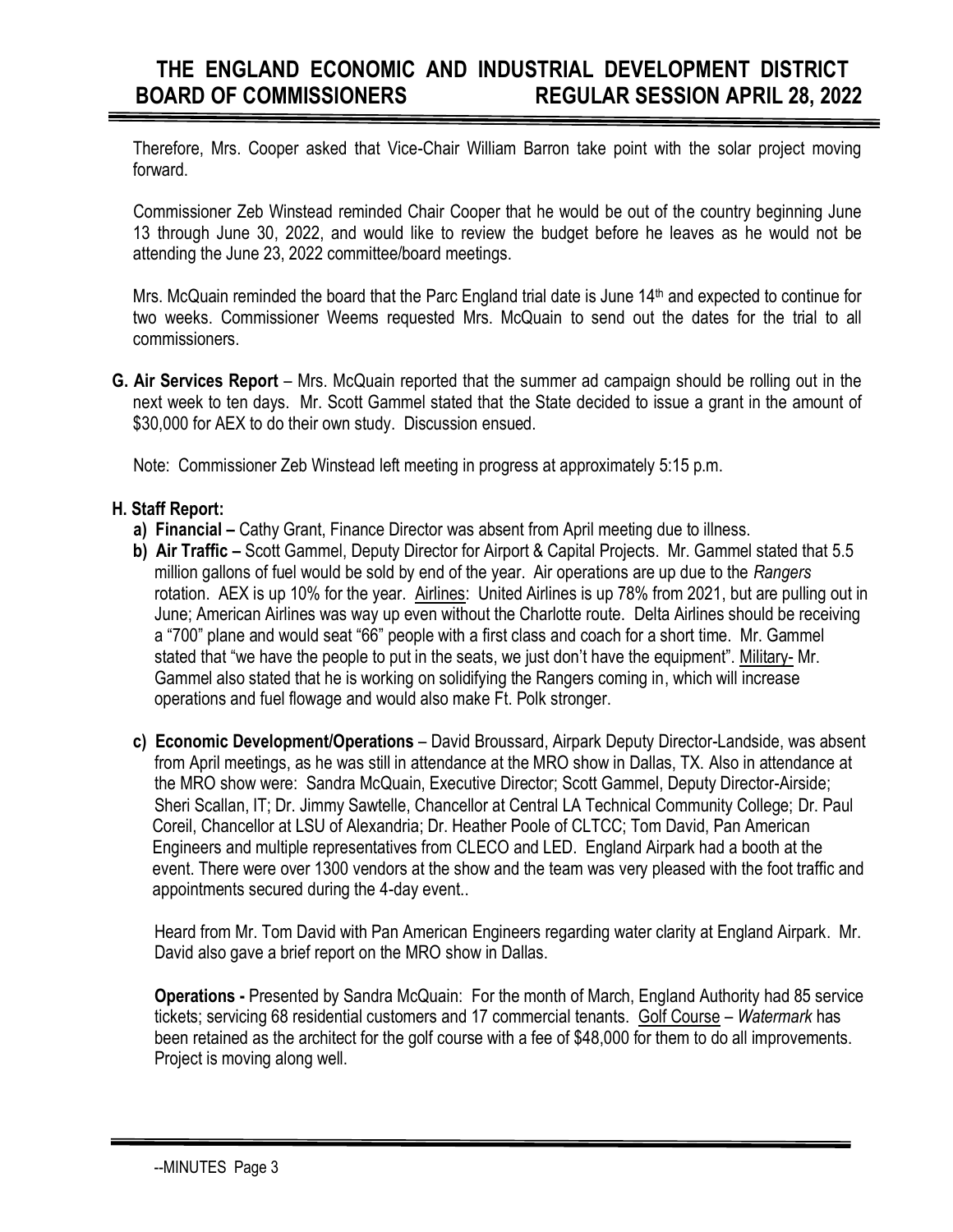Therefore, Mrs. Cooper asked that Vice-Chair William Barron take point with the solar project moving forward.

 Commissioner Zeb Winstead reminded Chair Cooper that he would be out of the country beginning June 13 through June 30, 2022, and would like to review the budget before he leaves as he would not be attending the June 23, 2022 committee/board meetings.

Mrs. McQuain reminded the board that the Parc England trial date is June 14th and expected to continue for two weeks. Commissioner Weems requested Mrs. McQuain to send out the dates for the trial to all commissioners.

**G. Air Services Report** – Mrs. McQuain reported that the summer ad campaign should be rolling out in the next week to ten days. Mr. Scott Gammel stated that the State decided to issue a grant in the amount of \$30,000 for AEX to do their own study. Discussion ensued.

Note: Commissioner Zeb Winstead left meeting in progress at approximately 5:15 p.m.

## **H. Staff Report:**

- **a) Financial –** Cathy Grant, Finance Director was absent from April meeting due to illness.
- **b) Air Traffic –** Scott Gammel, Deputy Director for Airport & Capital Projects. Mr. Gammel stated that 5.5 million gallons of fuel would be sold by end of the year. Air operations are up due to the *Rangers* rotation. AEX is up 10% for the year. Airlines: United Airlines is up 78% from 2021, but are pulling out in June; American Airlines was way up even without the Charlotte route. Delta Airlines should be receiving a "700" plane and would seat "66" people with a first class and coach for a short time. Mr. Gammel stated that "we have the people to put in the seats, we just don't have the equipment". Military- Mr. Gammel also stated that he is working on solidifying the Rangers coming in, which will increase operations and fuel flowage and would also make Ft. Polk stronger.
- **c) Economic Development/Operations** David Broussard, Airpark Deputy Director-Landside, was absent from April meetings, as he was still in attendance at the MRO show in Dallas, TX. Also in attendance at the MRO show were: Sandra McQuain, Executive Director; Scott Gammel, Deputy Director-Airside; Sheri Scallan, IT; Dr. Jimmy Sawtelle, Chancellor at Central LA Technical Community College; Dr. Paul Coreil, Chancellor at LSU of Alexandria; Dr. Heather Poole of CLTCC; Tom David, Pan American Engineers and multiple representatives from CLECO and LED. England Airpark had a booth at the event. There were over 1300 vendors at the show and the team was very pleased with the foot traffic and appointments secured during the 4-day event..

 Heard from Mr. Tom David with Pan American Engineers regarding water clarity at England Airpark. Mr. David also gave a brief report on the MRO show in Dallas.

 **Operations -** Presented by Sandra McQuain: For the month of March, England Authority had 85 service tickets; servicing 68 residential customers and 17 commercial tenants. Golf Course – *Watermark* has been retained as the architect for the golf course with a fee of \$48,000 for them to do all improvements. Project is moving along well.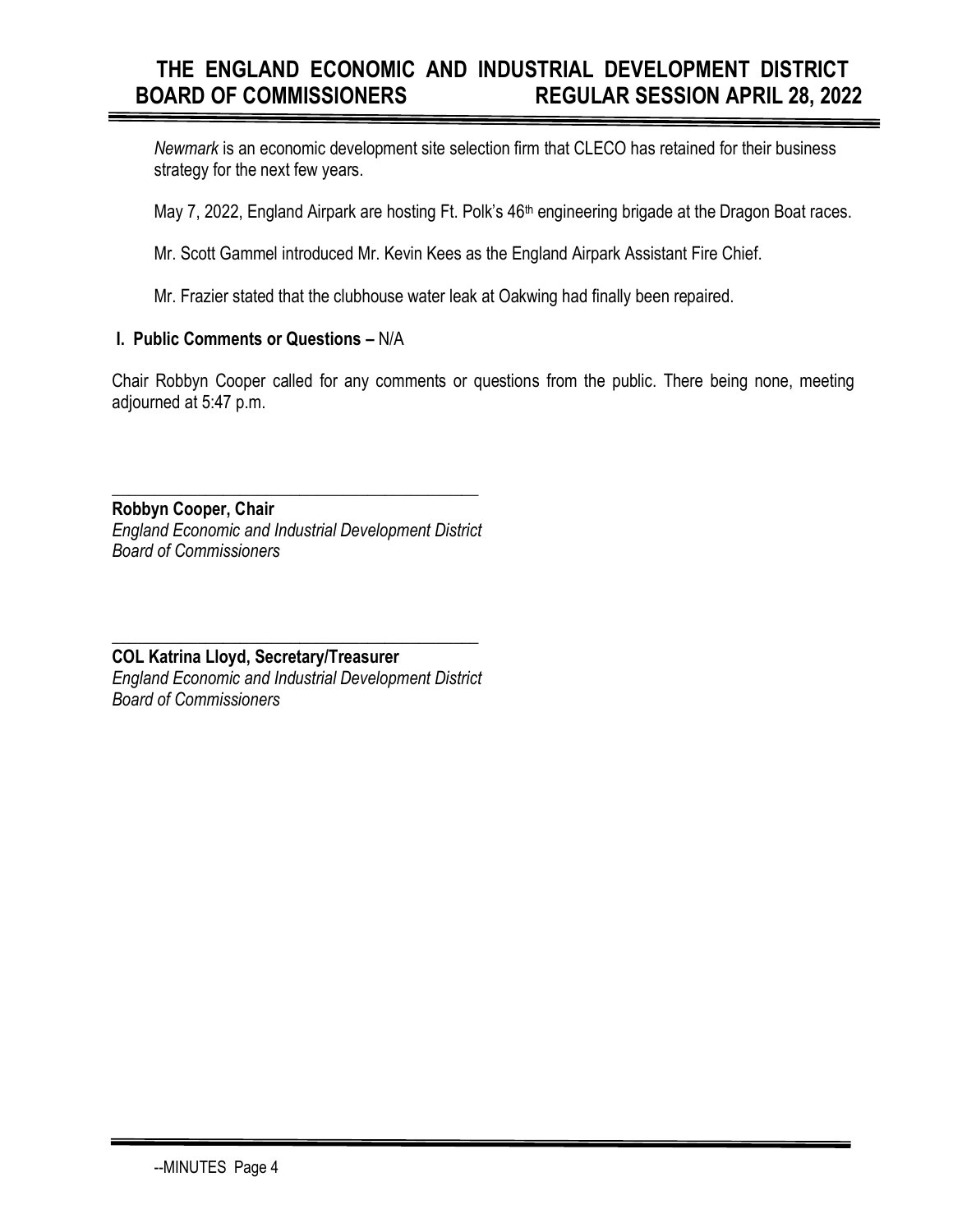# **THE ENGLAND ECONOMIC AND INDUSTRIAL DEVELOPMENT DISTRICT BOARD OF COMMISSIONERS REGULAR SESSION APRIL 28, 2022**

*Newmark* is an economic development site selection firm that CLECO has retained for their business strategy for the next few years.

May 7, 2022, England Airpark are hosting Ft. Polk's 46<sup>th</sup> engineering brigade at the Dragon Boat races.

Mr. Scott Gammel introduced Mr. Kevin Kees as the England Airpark Assistant Fire Chief.

Mr. Frazier stated that the clubhouse water leak at Oakwing had finally been repaired.

## **I. Public Comments or Questions –** N/A

Chair Robbyn Cooper called for any comments or questions from the public. There being none, meeting adjourned at 5:47 p.m.

**Robbyn Cooper, Chair** *England Economic and Industrial Development District Board of Commissioners*

**\_\_\_\_\_\_\_\_\_\_\_\_\_\_\_\_\_\_\_\_\_\_\_\_\_\_\_\_\_\_\_\_\_\_\_\_\_\_\_\_\_\_\_**

**\_\_\_\_\_\_\_\_\_\_\_\_\_\_\_\_\_\_\_\_\_\_\_\_\_\_\_\_\_\_\_\_\_\_\_\_\_\_\_\_\_\_\_ COL Katrina Lloyd, Secretary/Treasurer** *England Economic and Industrial Development District Board of Commissioners*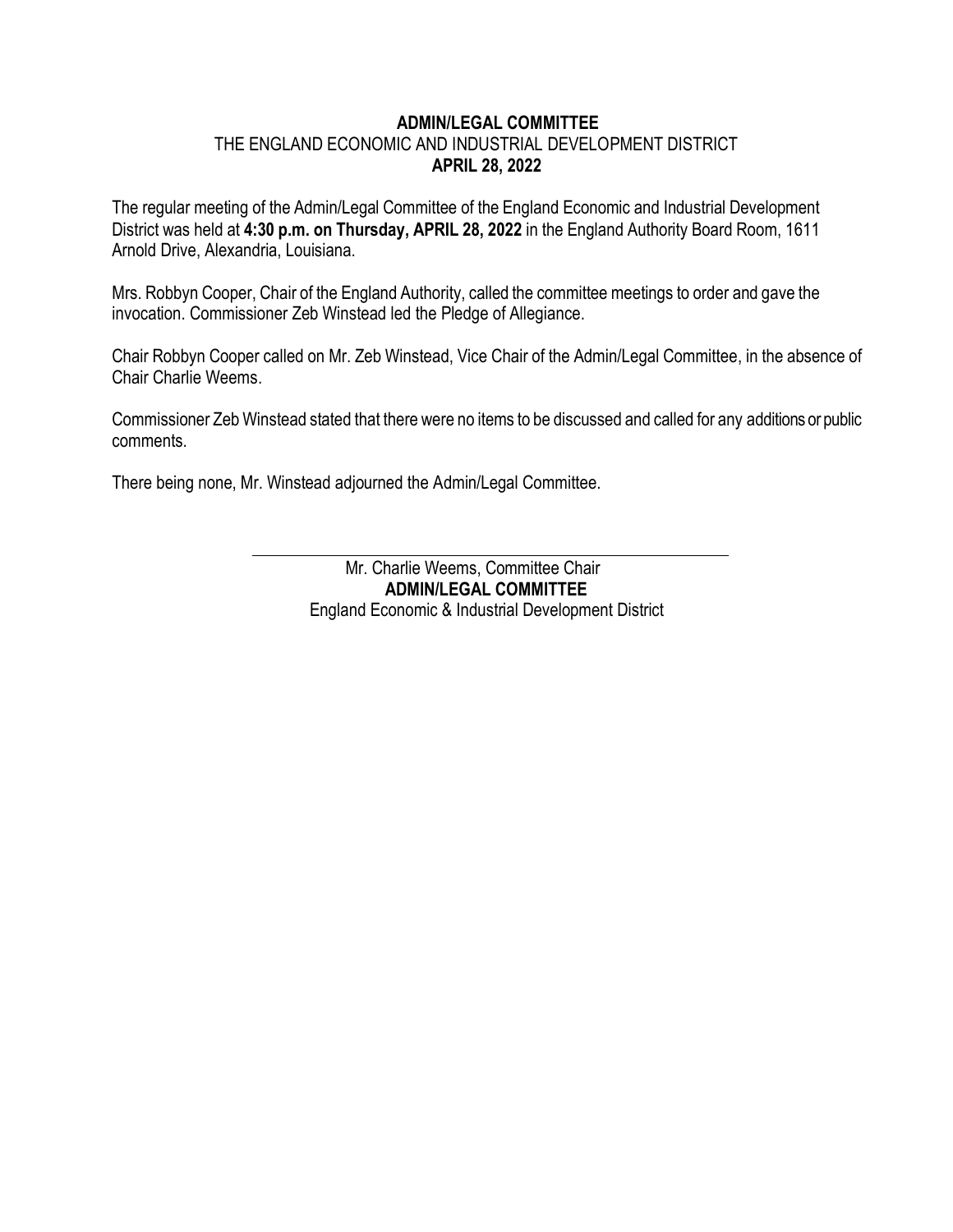#### **ADMIN/LEGAL COMMITTEE**

## THE ENGLAND ECONOMIC AND INDUSTRIAL DEVELOPMENT DISTRICT **APRIL 28, 2022**

The regular meeting of the Admin/Legal Committee of the England Economic and Industrial Development District was held at **4:30 p.m. on Thursday, APRIL 28, 2022** in the England Authority Board Room, 1611 Arnold Drive, Alexandria, Louisiana.

Mrs. Robbyn Cooper, Chair of the England Authority, called the committee meetings to order and gave the invocation. Commissioner Zeb Winstead led the Pledge of Allegiance.

Chair Robbyn Cooper called on Mr. Zeb Winstead, Vice Chair of the Admin/Legal Committee, in the absence of Chair Charlie Weems.

Commissioner Zeb Winstead stated that there were no items to be discussed and called for any additions or public comments.

There being none, Mr. Winstead adjourned the Admin/Legal Committee.

 Mr. Charlie Weems, Committee Chair **ADMIN/LEGAL COMMITTEE** England Economic & Industrial Development District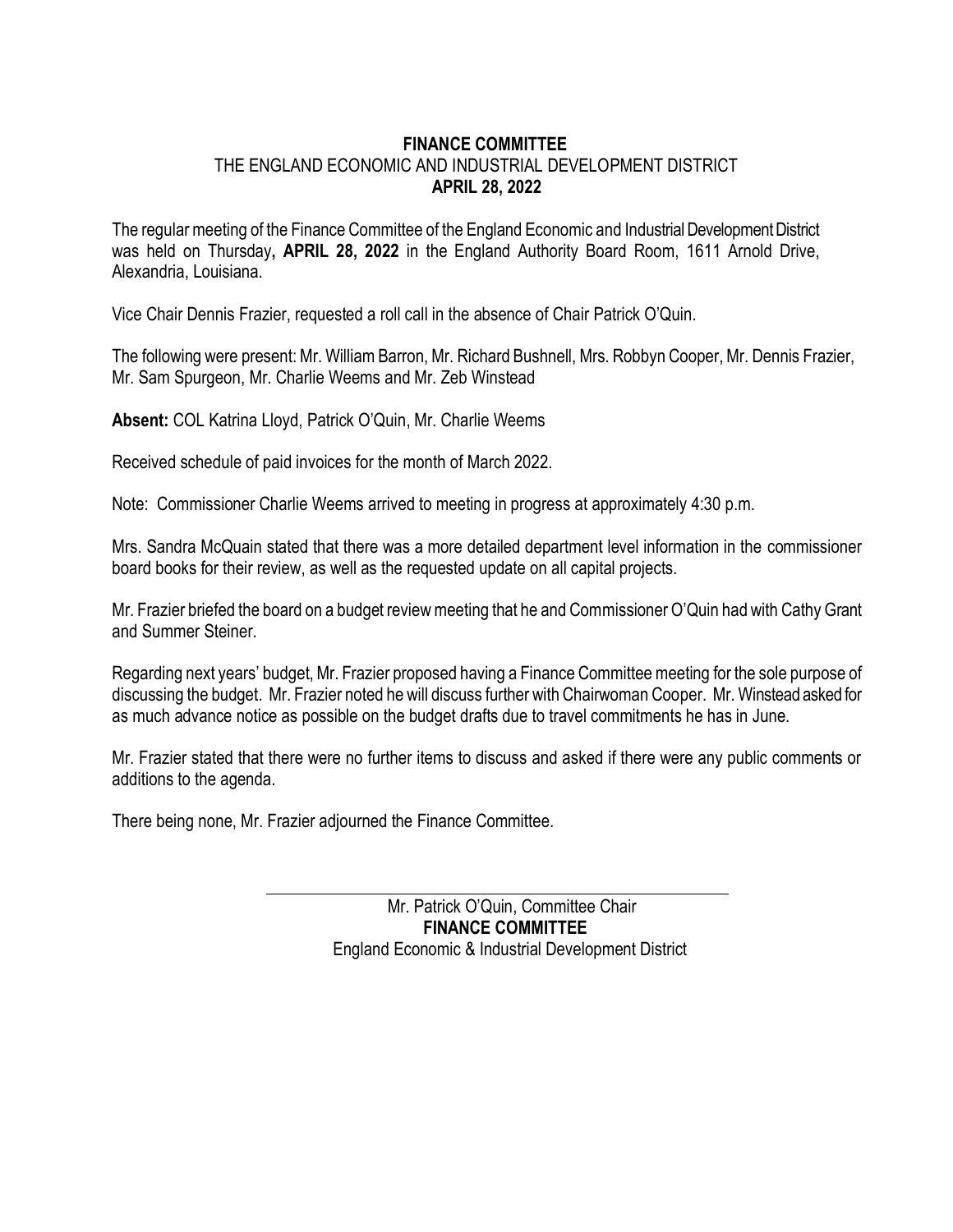## **FINANCE COMMITTEE** THE ENGLAND ECONOMIC AND INDUSTRIAL DEVELOPMENT DISTRICT **APRIL 28, 2022**

The regular meeting of the Finance Committee of the England Economic and Industrial Development District was held on Thursday**, APRIL 28, 2022** in the England Authority Board Room, 1611 Arnold Drive, Alexandria, Louisiana.

Vice Chair Dennis Frazier, requested a roll call in the absence of Chair Patrick O'Quin.

The following were present: Mr. William Barron, Mr. Richard Bushnell, Mrs. Robbyn Cooper, Mr. Dennis Frazier, Mr. Sam Spurgeon, Mr. Charlie Weems and Mr. Zeb Winstead

**Absent:** COL Katrina Lloyd, Patrick O'Quin, Mr. Charlie Weems

Received schedule of paid invoices for the month of March 2022.

Note: Commissioner Charlie Weems arrived to meeting in progress at approximately 4:30 p.m.

Mrs. Sandra McQuain stated that there was a more detailed department level information in the commissioner board books for their review, as well as the requested update on all capital projects.

Mr. Frazier briefed the board on a budget review meeting that he and Commissioner O'Quin had with Cathy Grant and Summer Steiner.

Regarding next years' budget, Mr. Frazier proposed having a Finance Committee meeting for the sole purpose of discussing the budget. Mr. Frazier noted he will discuss further with Chairwoman Cooper. Mr. Winstead asked for as much advance notice as possible on the budget drafts due to travel commitments he has in June.

Mr. Frazier stated that there were no further items to discuss and asked if there were any public comments or additions to the agenda.

There being none, Mr. Frazier adjourned the Finance Committee.

 Mr. Patrick O'Quin, Committee Chair **FINANCE COMMITTEE** England Economic & Industrial Development District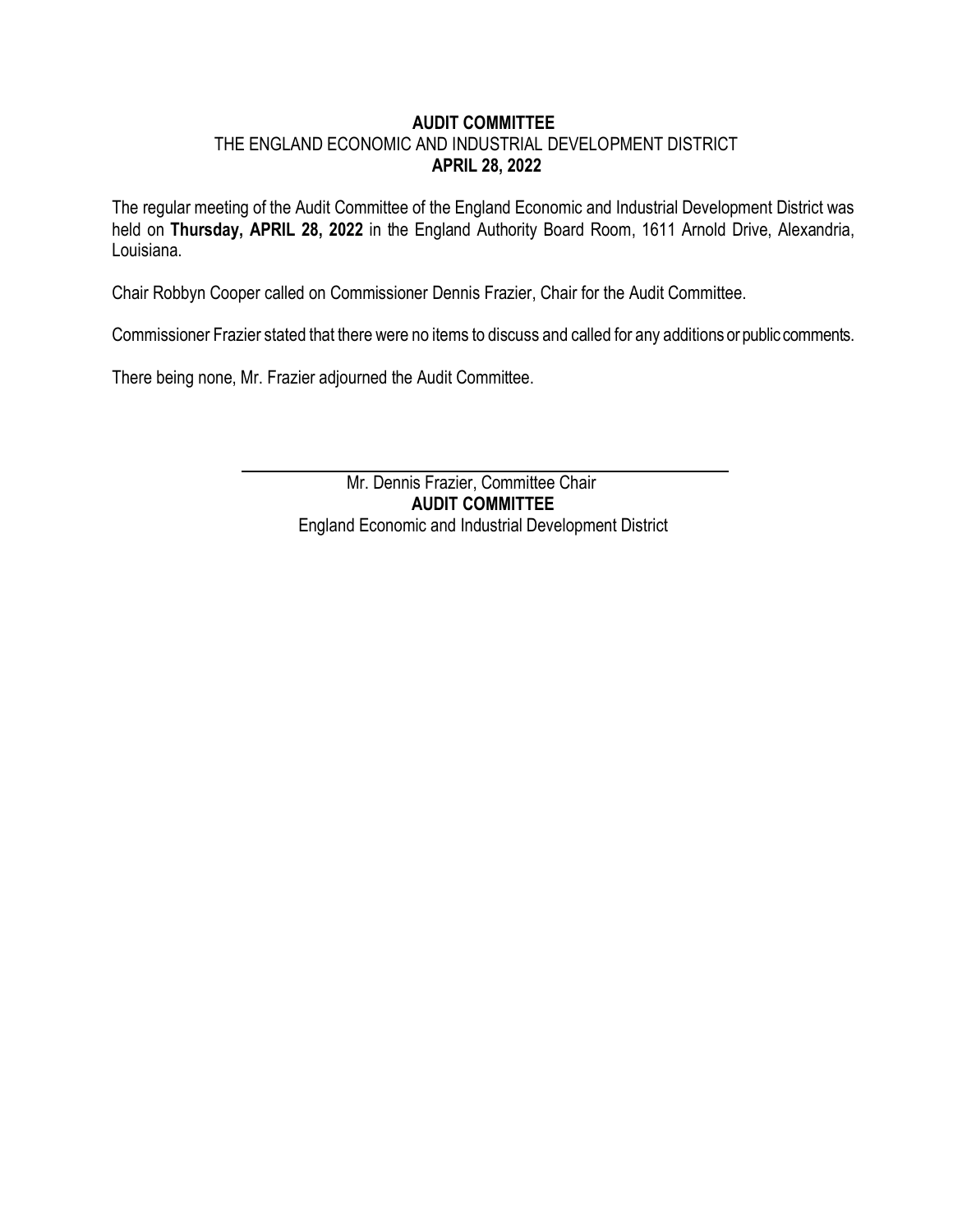## **AUDIT COMMITTEE** THE ENGLAND ECONOMIC AND INDUSTRIAL DEVELOPMENT DISTRICT **APRIL 28, 2022**

The regular meeting of the Audit Committee of the England Economic and Industrial Development District was held on **Thursday, APRIL 28, 2022** in the England Authority Board Room, 1611 Arnold Drive, Alexandria, Louisiana.

Chair Robbyn Cooper called on Commissioner Dennis Frazier, Chair for the Audit Committee.

Commissioner Frazier stated that there were no items to discuss and called for any additions or public comments.

There being none, Mr. Frazier adjourned the Audit Committee.

 Mr. Dennis Frazier, Committee Chair **AUDIT COMMITTEE** England Economic and Industrial Development District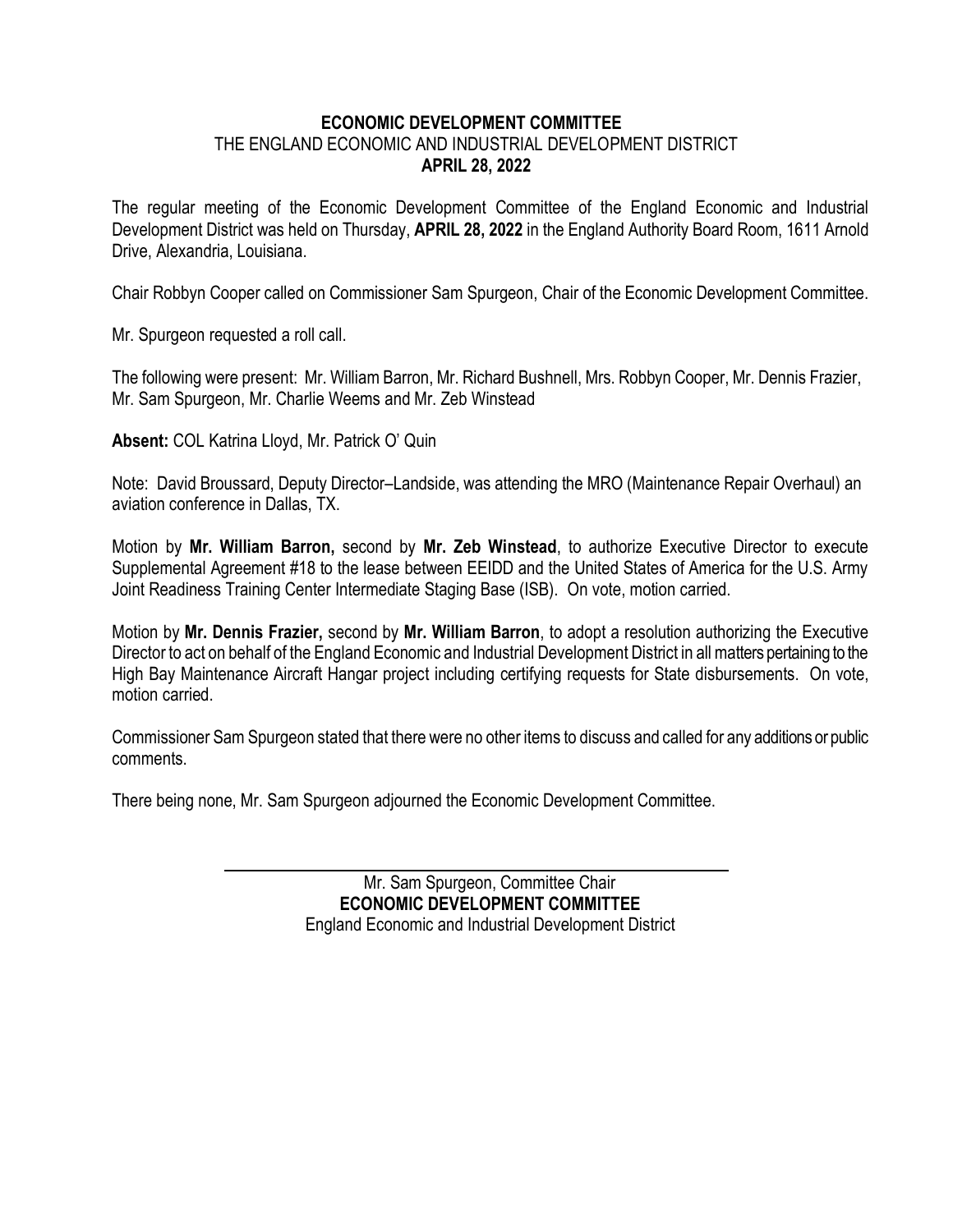## **ECONOMIC DEVELOPMENT COMMITTEE** THE ENGLAND ECONOMIC AND INDUSTRIAL DEVELOPMENT DISTRICT **APRIL 28, 2022**

The regular meeting of the Economic Development Committee of the England Economic and Industrial Development District was held on Thursday, **APRIL 28, 2022** in the England Authority Board Room, 1611 Arnold Drive, Alexandria, Louisiana.

Chair Robbyn Cooper called on Commissioner Sam Spurgeon, Chair of the Economic Development Committee.

Mr. Spurgeon requested a roll call.

The following were present: Mr. William Barron, Mr. Richard Bushnell, Mrs. Robbyn Cooper, Mr. Dennis Frazier, Mr. Sam Spurgeon, Mr. Charlie Weems and Mr. Zeb Winstead

**Absent:** COL Katrina Lloyd, Mr. Patrick O' Quin

Note: David Broussard, Deputy Director–Landside, was attending the MRO (Maintenance Repair Overhaul) an aviation conference in Dallas, TX.

Motion by **Mr. William Barron,** second by **Mr. Zeb Winstead**, to authorize Executive Director to execute Supplemental Agreement #18 to the lease between EEIDD and the United States of America for the U.S. Army Joint Readiness Training Center Intermediate Staging Base (ISB). On vote, motion carried.

Motion by **Mr. Dennis Frazier,** second by **Mr. William Barron**, to adopt a resolution authorizing the Executive Director to act on behalf of the England Economic and Industrial Development District in all matters pertaining to the High Bay Maintenance Aircraft Hangar project including certifying requests for State disbursements. On vote, motion carried.

Commissioner Sam Spurgeon stated that there were no other items to discuss and called for any additions or public comments.

There being none, Mr. Sam Spurgeon adjourned the Economic Development Committee.

 Mr. Sam Spurgeon, Committee Chair **ECONOMIC DEVELOPMENT COMMITTEE** England Economic and Industrial Development District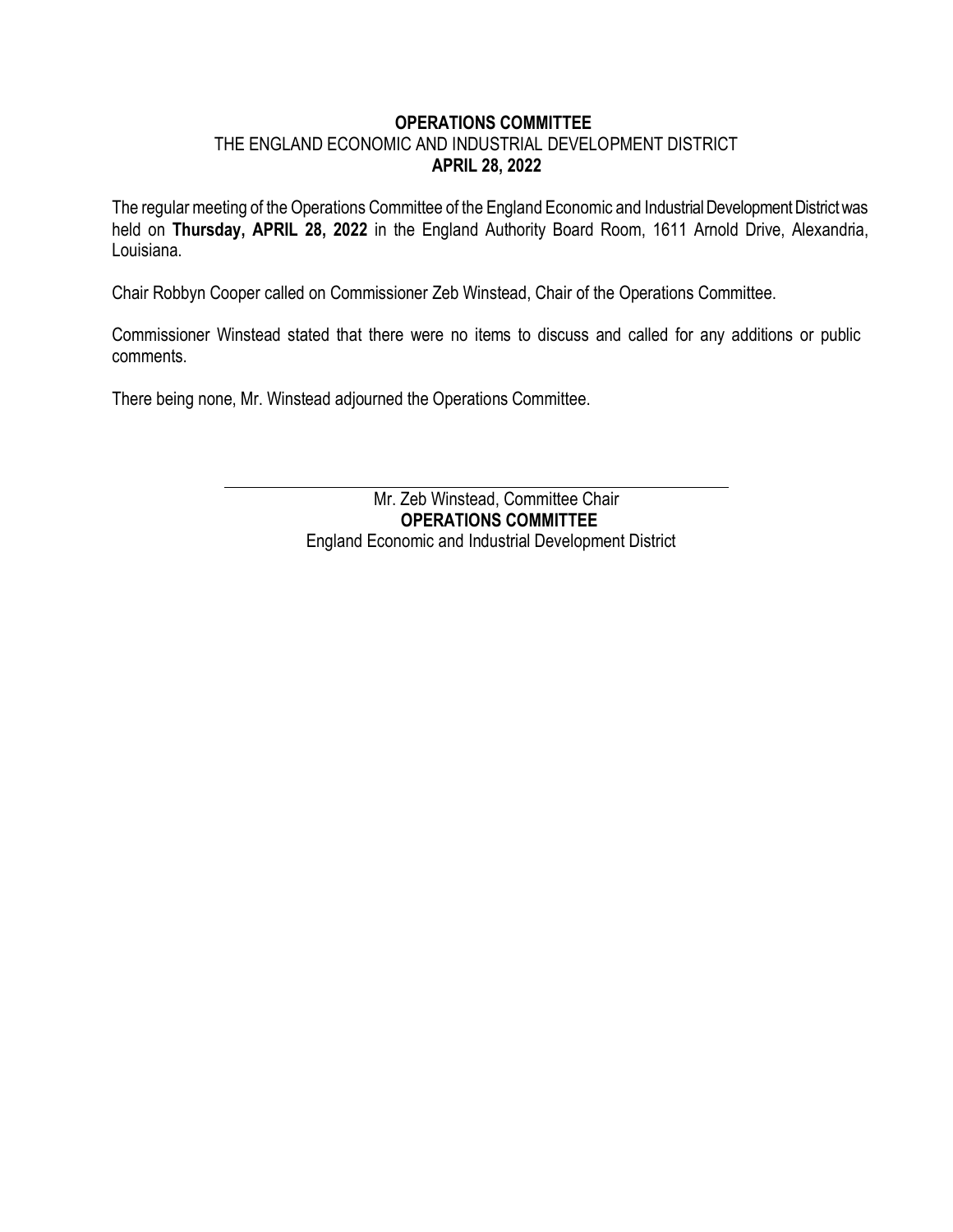#### **OPERATIONS COMMITTEE**

## THE ENGLAND ECONOMIC AND INDUSTRIAL DEVELOPMENT DISTRICT **APRIL 28, 2022**

The regular meeting of the Operations Committee of the England Economic and Industrial Development District was held on **Thursday, APRIL 28, 2022** in the England Authority Board Room, 1611 Arnold Drive, Alexandria, Louisiana.

Chair Robbyn Cooper called on Commissioner Zeb Winstead, Chair of the Operations Committee.

Commissioner Winstead stated that there were no items to discuss and called for any additions or public comments.

There being none, Mr. Winstead adjourned the Operations Committee.

 Mr. Zeb Winstead, Committee Chair **OPERATIONS COMMITTEE** England Economic and Industrial Development District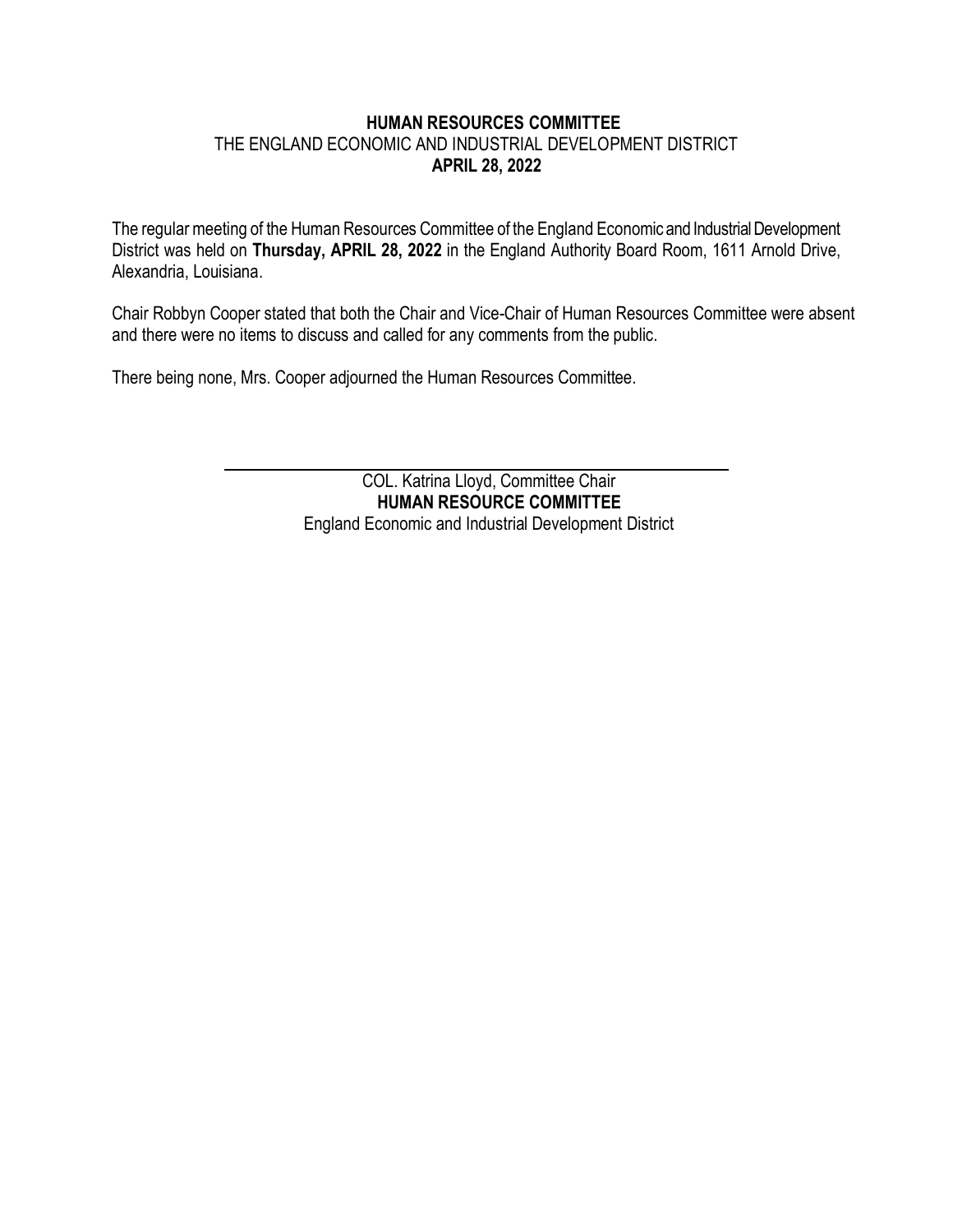## **HUMAN RESOURCES COMMITTEE** THE ENGLAND ECONOMIC AND INDUSTRIAL DEVELOPMENT DISTRICT **APRIL 28, 2022**

The regular meeting of the Human Resources Committee of the England Economic and Industrial Development District was held on **Thursday, APRIL 28, 2022** in the England Authority Board Room, 1611 Arnold Drive, Alexandria, Louisiana.

Chair Robbyn Cooper stated that both the Chair and Vice-Chair of Human Resources Committee were absent and there were no items to discuss and called for any comments from the public.

There being none, Mrs. Cooper adjourned the Human Resources Committee.

 COL. Katrina Lloyd, Committee Chair **HUMAN RESOURCE COMMITTEE** England Economic and Industrial Development District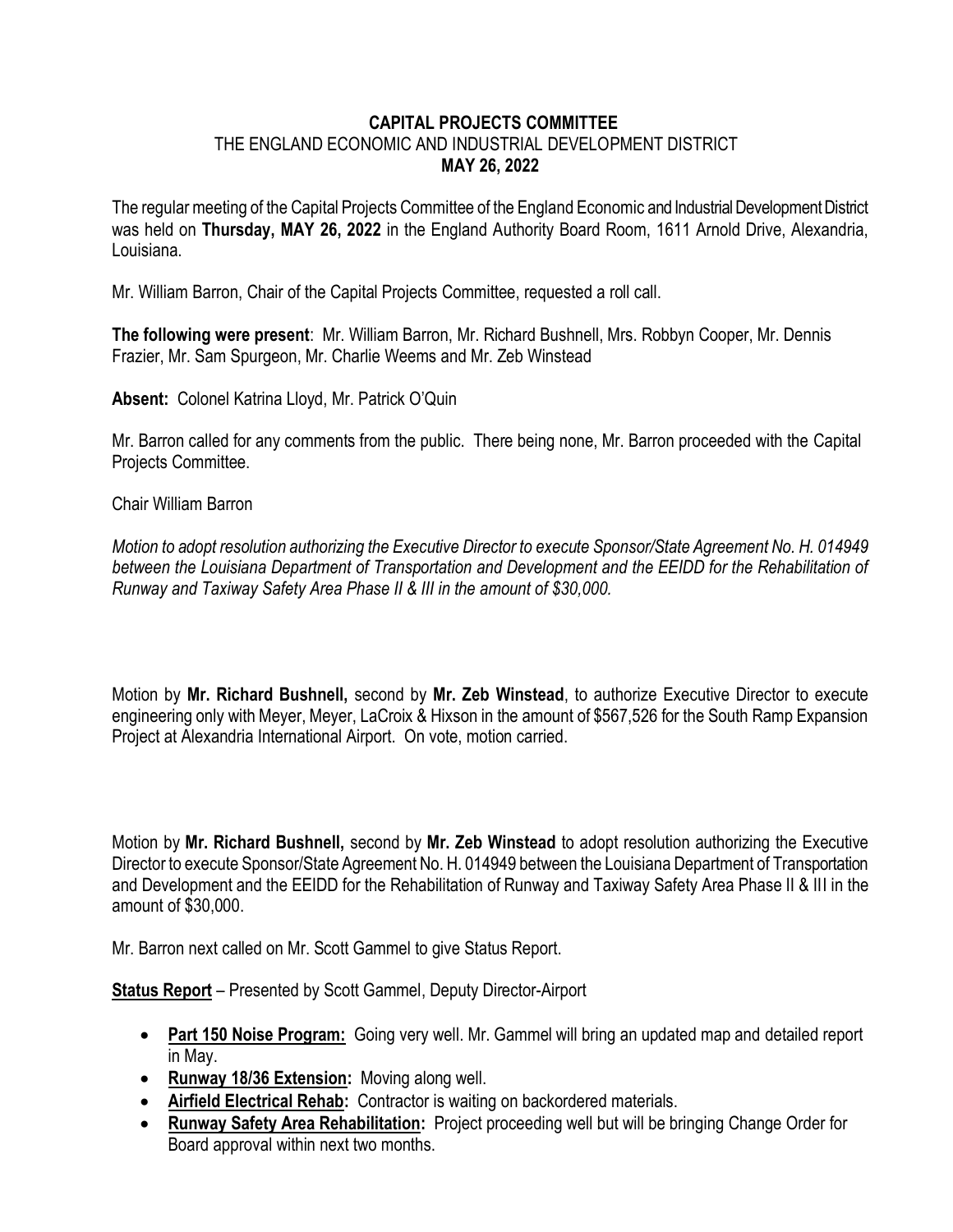## **CAPITAL PROJECTS COMMITTEE** THE ENGLAND ECONOMIC AND INDUSTRIAL DEVELOPMENT DISTRICT **MAY 26, 2022**

The regular meeting of the Capital Projects Committee of the England Economic and Industrial Development District was held on **Thursday, MAY 26, 2022** in the England Authority Board Room, 1611 Arnold Drive, Alexandria, Louisiana.

Mr. William Barron, Chair of the Capital Projects Committee, requested a roll call.

**The following were present**: Mr. William Barron, Mr. Richard Bushnell, Mrs. Robbyn Cooper, Mr. Dennis Frazier, Mr. Sam Spurgeon, Mr. Charlie Weems and Mr. Zeb Winstead

**Absent:** Colonel Katrina Lloyd, Mr. Patrick O'Quin

Mr. Barron called for any comments from the public. There being none, Mr. Barron proceeded with the Capital Projects Committee.

Chair William Barron

*Motion to adopt resolution authorizing the Executive Director to execute Sponsor/State Agreement No. H. 014949 between the Louisiana Department of Transportation and Development and the EEIDD for the Rehabilitation of Runway and Taxiway Safety Area Phase II & III in the amount of \$30,000.*

Motion by **Mr. Richard Bushnell,** second by **Mr. Zeb Winstead**, to authorize Executive Director to execute engineering only with Meyer, Meyer, LaCroix & Hixson in the amount of \$567,526 for the South Ramp Expansion Project at Alexandria International Airport. On vote, motion carried.

Motion by **Mr. Richard Bushnell,** second by **Mr. Zeb Winstead** to adopt resolution authorizing the Executive Director to execute Sponsor/State Agreement No. H. 014949 between the Louisiana Department of Transportation and Development and the EEIDD for the Rehabilitation of Runway and Taxiway Safety Area Phase II & III in the amount of \$30,000.

Mr. Barron next called on Mr. Scott Gammel to give Status Report.

**Status Report** – Presented by Scott Gammel, Deputy Director-Airport

- **Part 150 Noise Program:** Going very well. Mr. Gammel will bring an updated map and detailed report in May.
- **Runway 18/36 Extension:** Moving along well.
- **Airfield Electrical Rehab:** Contractor is waiting on backordered materials.
- **Runway Safety Area Rehabilitation:** Project proceeding well but will be bringing Change Order for Board approval within next two months.